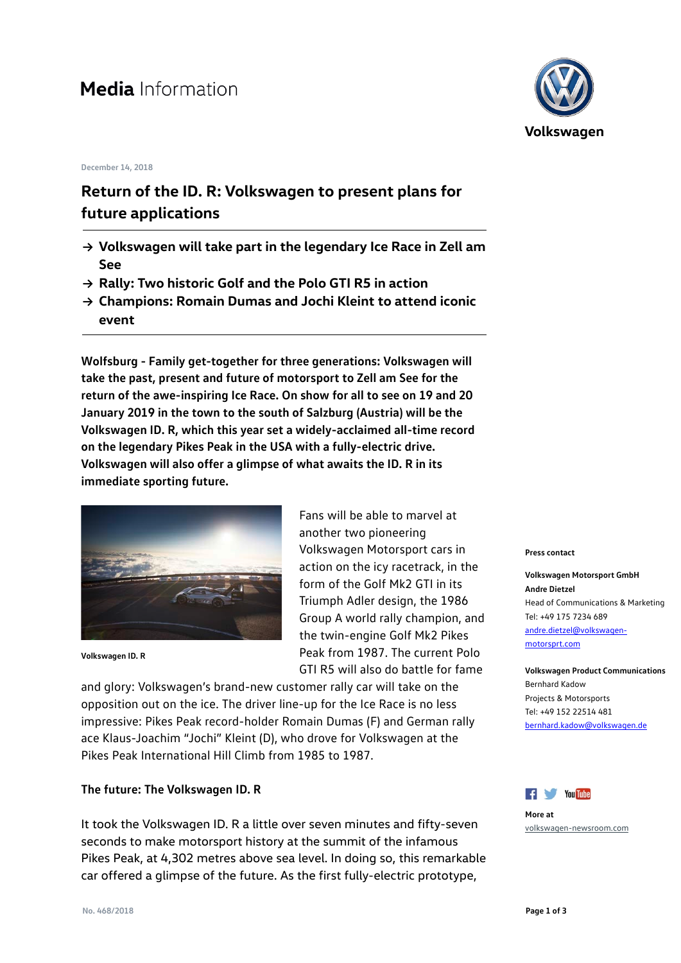# **Media** Information

#### **December 14, 2018**

## **Return of the ID. R: Volkswagen to present plans for future applications**

- **→ Volkswagen will take part in the legendary Ice Race in Zell am See**
- **→ Rally: Two historic Golf and the Polo GTI R5 in action**
- **→ Champions: Romain Dumas and Jochi Kleint to attend iconic event**

**Wolfsburg - Family get-together for three generations: Volkswagen will take the past, present and future of motorsport to Zell am See for the return of the awe-inspiring Ice Race. On show for all to see on 19 and 20 January 2019 in the town to the south of Salzburg (Austria) will be the Volkswagen ID. R, which this year set a widely-acclaimed all-time record on the legendary Pikes Peak in the USA with a fully-electric drive. Volkswagen will also offer a glimpse of what awaits the ID. R in its immediate sporting future.** 



**Volkswagen ID. R**

Fans will be able to marvel at another two pioneering Volkswagen Motorsport cars in action on the icy racetrack, in the form of the Golf Mk2 GTI in its Triumph Adler design, the 1986 Group A world rally champion, and the twin-engine Golf Mk2 Pikes Peak from 1987. The current Polo GTI R5 will also do battle for fame

and glory: Volkswagen's brand-new customer rally car will take on the opposition out on the ice. The driver line-up for the Ice Race is no less impressive: Pikes Peak record-holder Romain Dumas (F) and German rally ace Klaus-Joachim "Jochi" Kleint (D), who drove for Volkswagen at the Pikes Peak International Hill Climb from 1985 to 1987.

#### **The future: The Volkswagen ID. R**

It took the Volkswagen ID. R a little over seven minutes and fifty-seven seconds to make motorsport history at the summit of the infamous Pikes Peak, at 4,302 metres above sea level. In doing so, this remarkable car offered a glimpse of the future. As the first fully-electric prototype,



#### **Press contact**

**Volkswagen Motorsport GmbH Andre Dietzel** Head of Communications & Marketing Tel: +49 175 7234 689 [andre.dietzel@volkswagen](mailto:andre.dietzel@volkswagen-motorsprt.com)[motorsprt.com](mailto:andre.dietzel@volkswagen-motorsprt.com)

**Volkswagen Product Communications** Bernhard Kadow Projects & Motorsports Tel: +49 152 22514 481 [bernhard.kadow@volkswagen.de](mailto:bernhard.kadow@volkswagen.de)



**More at** [volkswagen-newsroom.com](https://www.volkswagen-newsroom.com/)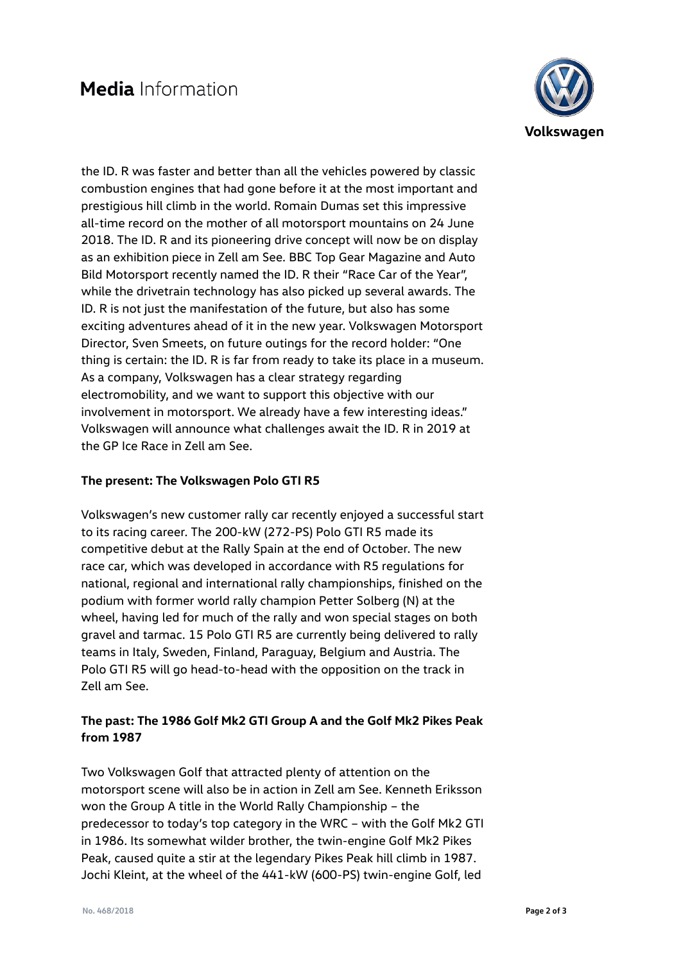

the ID. R was faster and better than all the vehicles powered by classic combustion engines that had gone before it at the most important and prestigious hill climb in the world. Romain Dumas set this impressive all-time record on the mother of all motorsport mountains on 24 June 2018. The ID. R and its pioneering drive concept will now be on display as an exhibition piece in Zell am See. BBC Top Gear Magazine and Auto Bild Motorsport recently named the ID. R their "Race Car of the Year", while the drivetrain technology has also picked up several awards. The ID. R is not just the manifestation of the future, but also has some exciting adventures ahead of it in the new year. Volkswagen Motorsport Director, Sven Smeets, on future outings for the record holder: "One thing is certain: the ID. R is far from ready to take its place in a museum. As a company, Volkswagen has a clear strategy regarding electromobility, and we want to support this objective with our involvement in motorsport. We already have a few interesting ideas." Volkswagen will announce what challenges await the ID. R in 2019 at the GP Ice Race in Zell am See.

### **The present: The Volkswagen Polo GTI R5**

Volkswagen's new customer rally car recently enjoyed a successful start to its racing career. The 200-kW (272-PS) Polo GTI R5 made its competitive debut at the Rally Spain at the end of October. The new race car, which was developed in accordance with R5 regulations for national, regional and international rally championships, finished on the podium with former world rally champion Petter Solberg (N) at the wheel, having led for much of the rally and won special stages on both gravel and tarmac. 15 Polo GTI R5 are currently being delivered to rally teams in Italy, Sweden, Finland, Paraguay, Belgium and Austria. The Polo GTI R5 will go head-to-head with the opposition on the track in Zell am See.

## **The past: The 1986 Golf Mk2 GTI Group A and the Golf Mk2 Pikes Peak from 1987**

Two Volkswagen Golf that attracted plenty of attention on the motorsport scene will also be in action in Zell am See. Kenneth Eriksson won the Group A title in the World Rally Championship – the predecessor to today's top category in the WRC – with the Golf Mk2 GTI in 1986. Its somewhat wilder brother, the twin-engine Golf Mk2 Pikes Peak, caused quite a stir at the legendary Pikes Peak hill climb in 1987. Jochi Kleint, at the wheel of the 441-kW (600-PS) twin-engine Golf, led